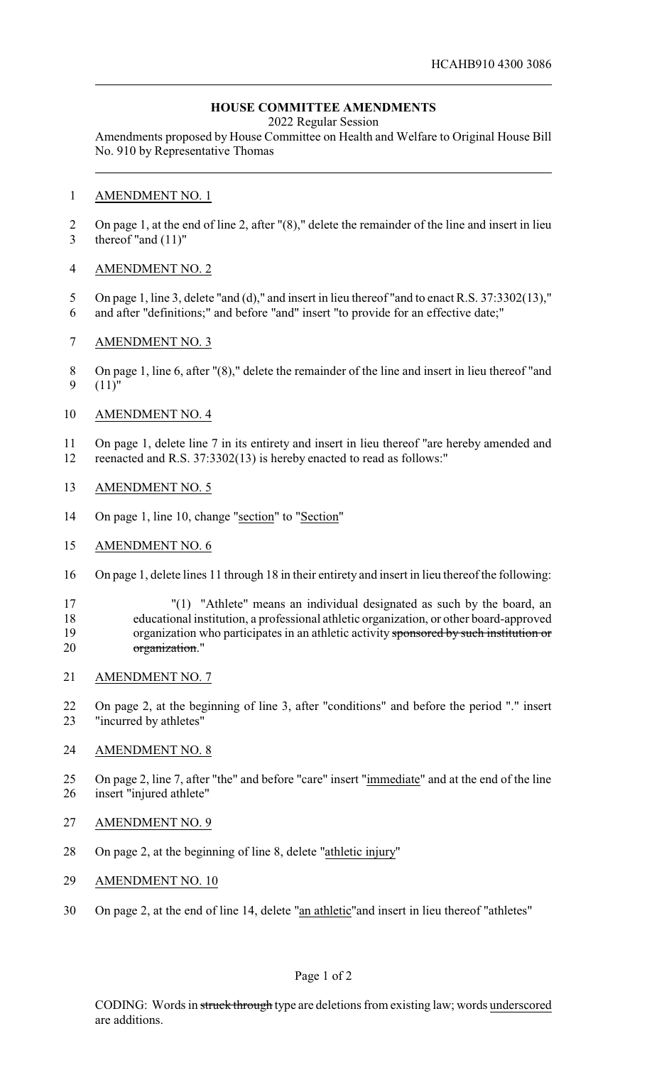# **HOUSE COMMITTEE AMENDMENTS**

2022 Regular Session

Amendments proposed by House Committee on Health and Welfare to Original House Bill No. 910 by Representative Thomas

### AMENDMENT NO. 1

 On page 1, at the end of line 2, after "(8)," delete the remainder of the line and insert in lieu thereof "and (11)"

## AMENDMENT NO. 2

- 5 On page 1, line 3, delete "and (d)," and insert in lieu thereof "and to enact R.S. 37:3302(13),"
- and after "definitions;" and before "and" insert "to provide for an effective date;"
- AMENDMENT NO. 3
- On page 1, line 6, after "(8)," delete the remainder of the line and insert in lieu thereof "and (11)"

## AMENDMENT NO. 4

 On page 1, delete line 7 in its entirety and insert in lieu thereof "are hereby amended and reenacted and R.S. 37:3302(13) is hereby enacted to read as follows:"

## AMENDMENT NO. 5

- 14 On page 1, line 10, change "section" to "Section"
- AMENDMENT NO. 6
- On page 1, delete lines 11 through 18 in their entirety and insert in lieu thereof the following:

17 "(1) "Athlete" means an individual designated as such by the board, an educational institution, a professional athletic organization, or other board-approved 19 organization who participates in an athletic activity sponsored by such institution or organization."

AMENDMENT NO. 7

 On page 2, at the beginning of line 3, after "conditions" and before the period "." insert "incurred by athletes"

#### AMENDMENT NO. 8

- On page 2, line 7, after "the" and before "care" insert "immediate" and at the end of the line insert "injured athlete"
- AMENDMENT NO. 9
- On page 2, at the beginning of line 8, delete "athletic injury"
- AMENDMENT NO. 10
- On page 2, at the end of line 14, delete "an athletic"and insert in lieu thereof "athletes"